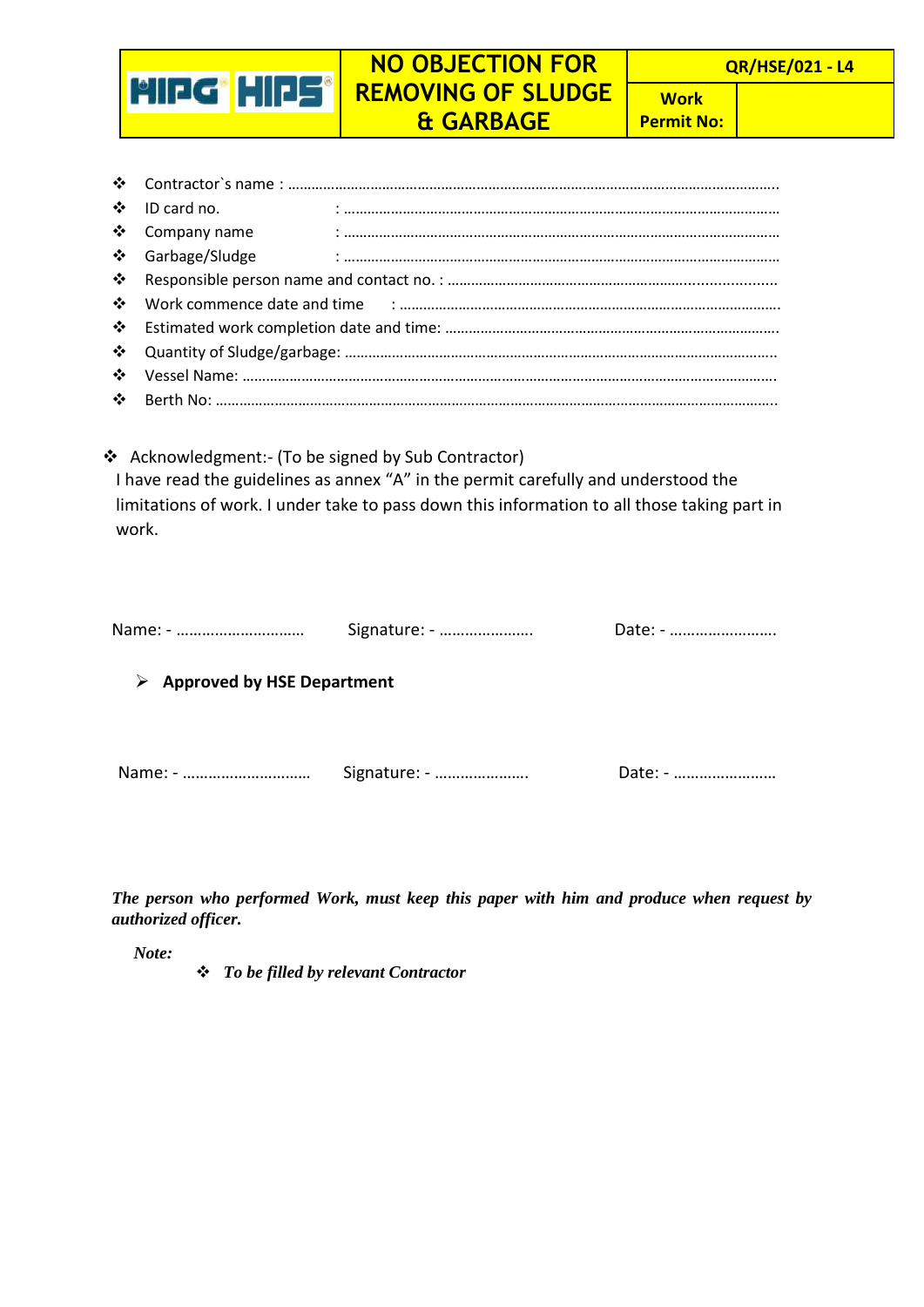## **QR/HSE/021 - L4**

## **NO OBJECTION FOR REMOVING OF SLUDGE & GARBAGE**

**Work Permit No:**

| ❖ ID card no.    |  |  |
|------------------|--|--|
| ❖ Company name   |  |  |
| ❖ Garbage/Sludge |  |  |
|                  |  |  |
|                  |  |  |
|                  |  |  |
|                  |  |  |
|                  |  |  |
|                  |  |  |

\* Acknowledgment:- (To be signed by Sub Contractor)

**MIDG\* HIPS\*** 

I have read the guidelines as annex "A" in the permit carefully and understood the limitations of work. I under take to pass down this information to all those taking part in work.

|                                             | Signature: - | Date: - |
|---------------------------------------------|--------------|---------|
| $\triangleright$ Approved by HSE Department |              |         |
|                                             | Signature: - | Date: - |

*The person who performed Work, must keep this paper with him and produce when request by authorized officer.* 

*Note:*

*To be filled by relevant Contractor*